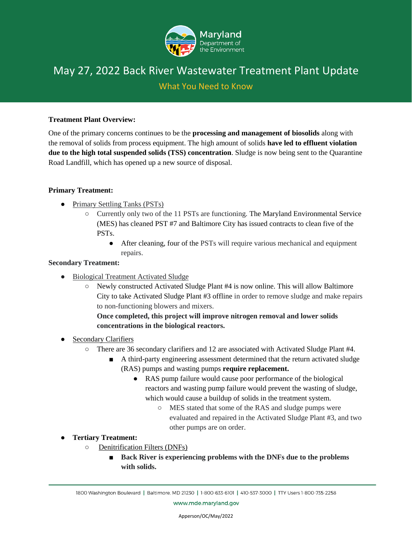

# May 27, 2022 Back River Wastewater Treatment Plant Update

## What You Need to Know

#### **Treatment Plant Overview:**

One of the primary concerns continues to be the **processing and management of biosolids** along with the removal of solids from process equipment. The high amount of solids **have led to effluent violation due to the high total suspended solids (TSS) concentration**. Sludge is now being sent to the Quarantine Road Landfill, which has opened up a new source of disposal.

#### **Primary Treatment:**

- Primary Settling Tanks (PSTs)
	- Currently only two of the 11 PSTs are functioning. The Maryland Environmental Service (MES) has cleaned PST #7 and Baltimore City has issued contracts to clean five of the PSTs.
		- After cleaning, four of the PSTs will require various mechanical and equipment repairs.

#### **Secondary Treatment:**

- Biological Treatment Activated Sludge
	- Newly constructed Activated Sludge Plant #4 is now online. This will allow Baltimore City to take Activated Sludge Plant #3 offline in order to remove sludge and make repairs to non-functioning blowers and mixers.

### **Once completed, this project will improve nitrogen removal and lower solids concentrations in the biological reactors.**

- Secondary Clarifiers
	- There are 36 secondary clarifiers and 12 are associated with Activated Sludge Plant #4.
		- A third-party engineering assessment determined that the return activated sludge (RAS) pumps and wasting pumps **require replacement.** 
			- RAS pump failure would cause poor performance of the biological reactors and wasting pump failure would prevent the wasting of sludge, which would cause a buildup of solids in the treatment system.
				- MES stated that some of the RAS and sludge pumps were evaluated and repaired in the Activated Sludge Plant #3, and two other pumps are on order.
- **Tertiary Treatment:**
	- Denitrification Filters (DNFs)
		- **Back River is experiencing problems with the DNFs due to the problems with solids.**

www.mde.maryland.gov